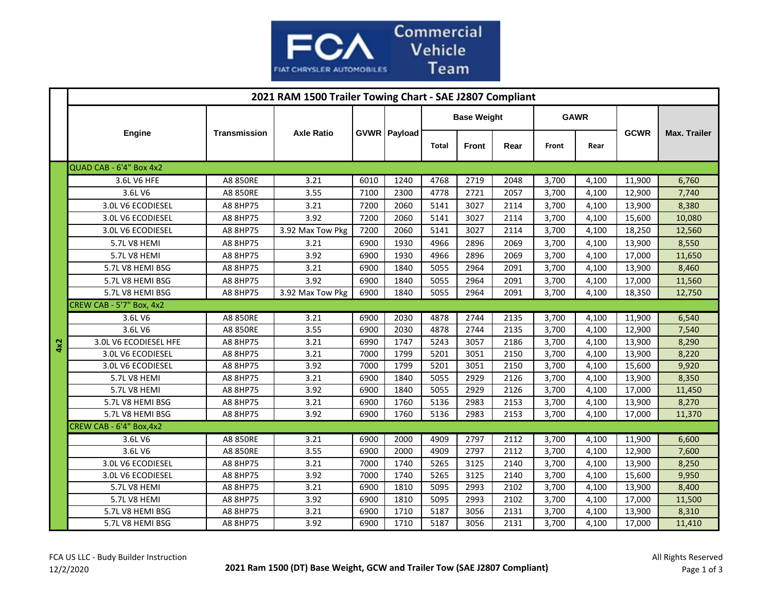

|     | 2021 RAM 1500 Trailer Towing Chart - SAE J2807 Compliant |                     |                   |      |              |                    |              |      |             |       |             |                     |
|-----|----------------------------------------------------------|---------------------|-------------------|------|--------------|--------------------|--------------|------|-------------|-------|-------------|---------------------|
|     |                                                          | <b>Transmission</b> | <b>Axle Ratio</b> |      | GVWR Payload | <b>Base Weight</b> |              |      | <b>GAWR</b> |       |             |                     |
|     | Engine                                                   |                     |                   |      |              | Total              | <b>Front</b> | Rear | Front       | Rear  | <b>GCWR</b> | <b>Max. Trailer</b> |
|     | QUAD CAB - 6'4" Box 4x2                                  |                     |                   |      |              |                    |              |      |             |       |             |                     |
|     | 3.6L V6 HFE                                              | A8 850RE            | 3.21              | 6010 | 1240         | 4768               | 2719         | 2048 | 3,700       | 4,100 | 11,900      | 6,760               |
|     | 3.6L V6                                                  | A8 850RE            | 3.55              | 7100 | 2300         | 4778               | 2721         | 2057 | 3,700       | 4,100 | 12,900      | 7,740               |
|     | 3.0L V6 ECODIESEL                                        | A8 8HP75            | 3.21              | 7200 | 2060         | 5141               | 3027         | 2114 | 3,700       | 4,100 | 13,900      | 8,380               |
|     | 3.0L V6 ECODIESEL                                        | A8 8HP75            | 3.92              | 7200 | 2060         | 5141               | 3027         | 2114 | 3,700       | 4,100 | 15,600      | 10,080              |
|     | 3.0L V6 ECODIESEL                                        | A8 8HP75            | 3.92 Max Tow Pkg  | 7200 | 2060         | 5141               | 3027         | 2114 | 3,700       | 4,100 | 18,250      | 12,560              |
|     | 5.7L V8 HEMI                                             | A8 8HP75            | 3.21              | 6900 | 1930         | 4966               | 2896         | 2069 | 3,700       | 4,100 | 13,900      | 8,550               |
|     | 5.7L V8 HEMI                                             | A8 8HP75            | 3.92              | 6900 | 1930         | 4966               | 2896         | 2069 | 3,700       | 4,100 | 17,000      | 11,650              |
|     | 5.7L V8 HEMI BSG                                         | A8 8HP75            | 3.21              | 6900 | 1840         | 5055               | 2964         | 2091 | 3,700       | 4,100 | 13,900      | 8,460               |
|     | 5.7L V8 HEMI BSG                                         | A8 8HP75            | 3.92              | 6900 | 1840         | 5055               | 2964         | 2091 | 3,700       | 4,100 | 17,000      | 11,560              |
|     | 5.7L V8 HEMI BSG                                         | A8 8HP75            | 3.92 Max Tow Pkg  | 6900 | 1840         | 5055               | 2964         | 2091 | 3,700       | 4,100 | 18,350      | 12,750              |
|     | <b>CREW CAB - 5'7" Box, 4x2</b>                          |                     |                   |      |              |                    |              |      |             |       |             |                     |
|     | 3.6L V6                                                  | A8 850RE            | 3.21              | 6900 | 2030         | 4878               | 2744         | 2135 | 3,700       | 4,100 | 11,900      | 6,540               |
|     | 3.6L V6                                                  | A8 850RE            | 3.55              | 6900 | 2030         | 4878               | 2744         | 2135 | 3,700       | 4,100 | 12,900      | 7,540               |
| 4x2 | 3.0L V6 ECODIESEL HFE                                    | A8 8HP75            | 3.21              | 6990 | 1747         | 5243               | 3057         | 2186 | 3,700       | 4,100 | 13,900      | 8,290               |
|     | 3.0L V6 ECODIESEL                                        | A8 8HP75            | 3.21              | 7000 | 1799         | 5201               | 3051         | 2150 | 3,700       | 4,100 | 13,900      | 8,220               |
|     | 3.0L V6 ECODIESEL                                        | A8 8HP75            | 3.92              | 7000 | 1799         | 5201               | 3051         | 2150 | 3,700       | 4,100 | 15,600      | 9,920               |
|     | 5.7L V8 HEMI                                             | A8 8HP75            | 3.21              | 6900 | 1840         | 5055               | 2929         | 2126 | 3,700       | 4,100 | 13,900      | 8,350               |
|     | 5.7L V8 HEMI                                             | A8 8HP75            | 3.92              | 6900 | 1840         | 5055               | 2929         | 2126 | 3,700       | 4,100 | 17,000      | 11,450              |
|     | 5.7L V8 HEMI BSG                                         | A8 8HP75            | 3.21              | 6900 | 1760         | 5136               | 2983         | 2153 | 3,700       | 4,100 | 13,900      | 8,270               |
|     | 5.7L V8 HEMI BSG                                         | A8 8HP75            | 3.92              | 6900 | 1760         | 5136               | 2983         | 2153 | 3,700       | 4,100 | 17,000      | 11,370              |
|     | CREW CAB - 6'4" Box, 4x2                                 |                     |                   |      |              |                    |              |      |             |       |             |                     |
|     | 3.6L V6                                                  | A8 850RE            | 3.21              | 6900 | 2000         | 4909               | 2797         | 2112 | 3,700       | 4,100 | 11,900      | 6,600               |
|     | 3.6L V6                                                  | A8 850RE            | 3.55              | 6900 | 2000         | 4909               | 2797         | 2112 | 3,700       | 4,100 | 12,900      | 7,600               |
|     | 3.0L V6 ECODIESEL                                        | A8 8HP75            | 3.21              | 7000 | 1740         | 5265               | 3125         | 2140 | 3,700       | 4,100 | 13,900      | 8,250               |
|     | 3.0L V6 ECODIESEL                                        | A8 8HP75            | 3.92              | 7000 | 1740         | 5265               | 3125         | 2140 | 3,700       | 4,100 | 15,600      | 9,950               |
|     | 5.7L V8 HEMI                                             | A8 8HP75            | 3.21              | 6900 | 1810         | 5095               | 2993         | 2102 | 3,700       | 4,100 | 13,900      | 8,400               |
|     | 5.7L V8 HEMI                                             | A8 8HP75            | 3.92              | 6900 | 1810         | 5095               | 2993         | 2102 | 3,700       | 4,100 | 17,000      | 11,500              |
|     | 5.7L V8 HEMI BSG                                         | A8 8HP75            | 3.21              | 6900 | 1710         | 5187               | 3056         | 2131 | 3,700       | 4,100 | 13,900      | 8,310               |
|     | 5.7L V8 HEMI BSG                                         | A8 8HP75            | 3.92              | 6900 | 1710         | 5187               | 3056         | 2131 | 3,700       | 4,100 | 17,000      | 11,410              |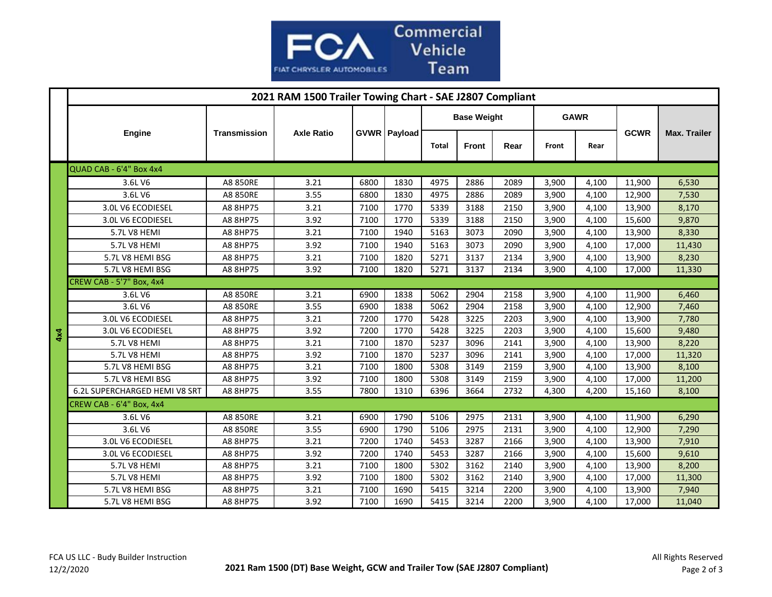

|            | 2021 RAM 1500 Trailer Towing Chart - SAE J2807 Compliant |              |                   |      |                     |                    |              |      |             |       |             |                     |
|------------|----------------------------------------------------------|--------------|-------------------|------|---------------------|--------------------|--------------|------|-------------|-------|-------------|---------------------|
|            | <b>Engine</b>                                            | Transmission | <b>Axle Ratio</b> |      | <b>GVWR</b> Payload | <b>Base Weight</b> |              |      | <b>GAWR</b> |       |             |                     |
|            |                                                          |              |                   |      |                     | <b>Total</b>       | <b>Front</b> | Rear | Front       | Rear  | <b>GCWR</b> | <b>Max. Trailer</b> |
|            | QUAD CAB - 6'4" Box 4x4                                  |              |                   |      |                     |                    |              |      |             |       |             |                     |
|            | 3.6L V6                                                  | A8 850RE     | 3.21              | 6800 | 1830                | 4975               | 2886         | 2089 | 3,900       | 4,100 | 11,900      | 6,530               |
|            | 3.6L V6                                                  | A8 850RE     | 3.55              | 6800 | 1830                | 4975               | 2886         | 2089 | 3,900       | 4,100 | 12,900      | 7,530               |
|            | 3.0L V6 ECODIESEL                                        | A8 8HP75     | 3.21              | 7100 | 1770                | 5339               | 3188         | 2150 | 3,900       | 4,100 | 13,900      | 8,170               |
|            | 3.0L V6 ECODIESEL                                        | A8 8HP75     | 3.92              | 7100 | 1770                | 5339               | 3188         | 2150 | 3,900       | 4,100 | 15,600      | 9,870               |
|            | 5.7L V8 HEMI                                             | A8 8HP75     | 3.21              | 7100 | 1940                | 5163               | 3073         | 2090 | 3,900       | 4,100 | 13,900      | 8,330               |
|            | 5.7L V8 HEMI                                             | A8 8HP75     | 3.92              | 7100 | 1940                | 5163               | 3073         | 2090 | 3,900       | 4,100 | 17,000      | 11,430              |
|            | 5.7L V8 HEMI BSG                                         | A8 8HP75     | 3.21              | 7100 | 1820                | 5271               | 3137         | 2134 | 3,900       | 4,100 | 13,900      | 8,230               |
|            | 5.7L V8 HEMI BSG                                         | A8 8HP75     | 3.92              | 7100 | 1820                | 5271               | 3137         | 2134 | 3,900       | 4,100 | 17,000      | 11,330              |
|            | CREW CAB - 5'7" Box, 4x4                                 |              |                   |      |                     |                    |              |      |             |       |             |                     |
|            | 3.6L V6                                                  | A8 850RE     | 3.21              | 6900 | 1838                | 5062               | 2904         | 2158 | 3,900       | 4,100 | 11,900      | 6,460               |
|            | 3.6L V6                                                  | A8 850RE     | 3.55              | 6900 | 1838                | 5062               | 2904         | 2158 | 3,900       | 4,100 | 12,900      | 7,460               |
|            | 3.0L V6 ECODIESEL                                        | A8 8HP75     | 3.21              | 7200 | 1770                | 5428               | 3225         | 2203 | 3,900       | 4,100 | 13,900      | 7,780               |
| $4\times4$ | 3.0L V6 ECODIESEL                                        | A8 8HP75     | 3.92              | 7200 | 1770                | 5428               | 3225         | 2203 | 3,900       | 4,100 | 15,600      | 9,480               |
|            | 5.7L V8 HEMI                                             | A8 8HP75     | 3.21              | 7100 | 1870                | 5237               | 3096         | 2141 | 3,900       | 4,100 | 13,900      | 8,220               |
|            | 5.7L V8 HEMI                                             | A8 8HP75     | 3.92              | 7100 | 1870                | 5237               | 3096         | 2141 | 3,900       | 4,100 | 17,000      | 11,320              |
|            | 5.7L V8 HEMI BSG                                         | A8 8HP75     | 3.21              | 7100 | 1800                | 5308               | 3149         | 2159 | 3,900       | 4,100 | 13,900      | 8,100               |
|            | 5.7L V8 HEMI BSG                                         | A8 8HP75     | 3.92              | 7100 | 1800                | 5308               | 3149         | 2159 | 3,900       | 4,100 | 17,000      | 11,200              |
|            | 6.2L SUPERCHARGED HEMI V8 SRT                            | A8 8HP75     | 3.55              | 7800 | 1310                | 6396               | 3664         | 2732 | 4,300       | 4,200 | 15,160      | 8,100               |
|            | CREW CAB - 6'4" Box, 4x4                                 |              |                   |      |                     |                    |              |      |             |       |             |                     |
|            | 3.6L V6                                                  | A8 850RE     | 3.21              | 6900 | 1790                | 5106               | 2975         | 2131 | 3,900       | 4,100 | 11,900      | 6,290               |
|            | 3.6L V6                                                  | A8 850RE     | 3.55              | 6900 | 1790                | 5106               | 2975         | 2131 | 3,900       | 4,100 | 12,900      | 7,290               |
|            | 3.0L V6 ECODIESEL                                        | A8 8HP75     | 3.21              | 7200 | 1740                | 5453               | 3287         | 2166 | 3,900       | 4,100 | 13,900      | 7,910               |
|            | 3.0L V6 ECODIESEL                                        | A8 8HP75     | 3.92              | 7200 | 1740                | 5453               | 3287         | 2166 | 3,900       | 4,100 | 15,600      | 9,610               |
|            | 5.7L V8 HEMI                                             | A8 8HP75     | 3.21              | 7100 | 1800                | 5302               | 3162         | 2140 | 3,900       | 4,100 | 13,900      | 8,200               |
|            | 5.7L V8 HEMI                                             | A8 8HP75     | 3.92              | 7100 | 1800                | 5302               | 3162         | 2140 | 3,900       | 4,100 | 17,000      | 11,300              |
|            | 5.7L V8 HEMI BSG                                         | A8 8HP75     | 3.21              | 7100 | 1690                | 5415               | 3214         | 2200 | 3,900       | 4,100 | 13,900      | 7,940               |
|            | 5.7L V8 HEMI BSG                                         | A8 8HP75     | 3.92              | 7100 | 1690                | 5415               | 3214         | 2200 | 3,900       | 4,100 | 17,000      | 11,040              |